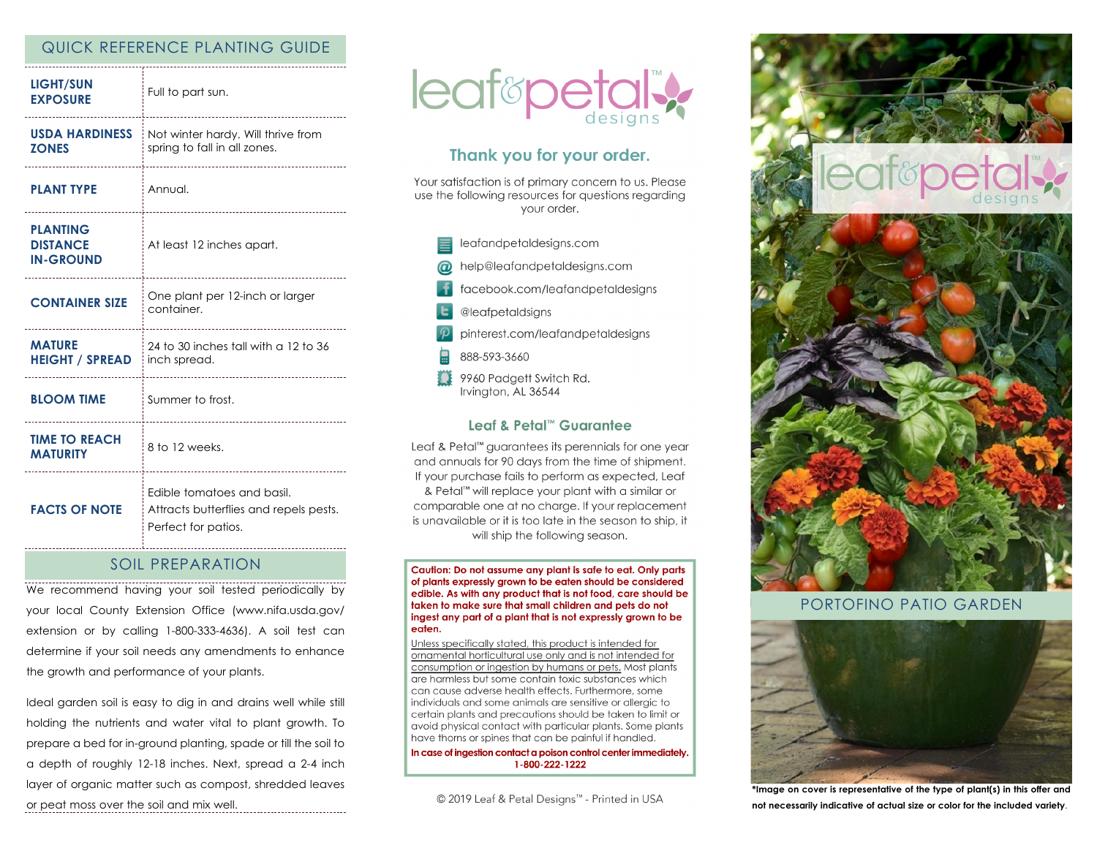# QUICK REFERENCE PLANTING GUIDE

| <b>LIGHT/SUN</b><br><b>EXPOSURE</b>                    | Full to part sun.                                                                           |
|--------------------------------------------------------|---------------------------------------------------------------------------------------------|
| <b>USDA HARDINESS</b><br><b>ZONES</b>                  | Not winter hardy. Will thrive from<br>spring to fall in all zones.                          |
| <b>PLANT TYPE</b>                                      | Annual.                                                                                     |
| <b>PLANTING</b><br><b>DISTANCE</b><br><b>IN-GROUND</b> | At least 12 inches apart.                                                                   |
| <b>CONTAINER SIZE</b>                                  | One plant per 12-inch or larger<br>container.                                               |
| <b>MATURE</b><br><b>HEIGHT / SPREAD</b>                | 24 to 30 inches tall with a 12 to 36<br>inch spread.                                        |
| <b>BLOOM TIME</b>                                      | Summer to frost.                                                                            |
| <b>TIME TO REACH</b><br><b>MATURITY</b>                | 8 to 12 weeks.                                                                              |
| <b>FACTS OF NOTE</b>                                   | Edible tomatoes and basil.<br>Attracts butterflies and repels pests.<br>Perfect for patios. |

## SOIL PREPARATION

We recommend having your soil tested periodically by your local County Extension Office (www.nifa.usda.gov/ extension or by calling 1-800-333-4636). A soil test can determine if your soil needs any amendments to enhance the growth and performance of your plants.

Ideal garden soil is easy to dig in and drains well while still holding the nutrients and water vital to plant growth. To prepare a bed for in-ground planting, spade or till the soil to a depth of roughly 12-18 inches. Next, spread a 2-4 inch layer of organic matter such as compost, shredded leaves or peat moss over the soil and mix well.



# Thank you for your order.

Your satisfaction is of primary concern to us. Please use the following resources for questions regarding vour order.

- leafandpetaldesigns.com
- help@leafandpetaldesigns.com
- facebook.com/leafandpetaldesigns
- @leafpetaldsigns
- pinterest.com/leafandpetaldesigns
- 888-593-3660
- 9960 Padgett Switch Rd. Irvington, AL 36544

## Leaf & Petal™ Guarantee

Leaf & Petal<sup>™</sup> guarantees its perennials for one year and annuals for 90 days from the time of shipment. If your purchase fails to perform as expected, Leaf & Petal™ will replace your plant with a similar or comparable one at no charge. If your replacement is unavailable or it is too late in the season to ship, it will ship the following season.

Caution: Do not assume any plant is safe to eat. Only parts of plants expressly grown to be eaten should be considered edible. As with any product that is not food, care should be taken to make sure that small children and pets do not ingest any part of a plant that is not expressly grown to be eaten.

Unless specifically stated, this product is intended for ornamental horticultural use only and is not intended for consumption or ingestion by humans or pets. Most plants are harmless but some contain toxic substances which can cause adverse health effects. Furthermore, some individuals and some animals are sensitive or allergic to certain plants and precautions should be taken to limit or avoid physical contact with particular plants. Some plants have thorns or spines that can be painful if handled.

In case of ingestion contact a poison control center immediately. 1-800-222-1222

© 2019 Leaf & Petal Designs™ - Printed in USA



## PORTOFINO PATIO GARDEN



**\*Image on cover is representative of the type of plant(s) in this offer and not necessarily indicative of actual size or color for the included variety**.